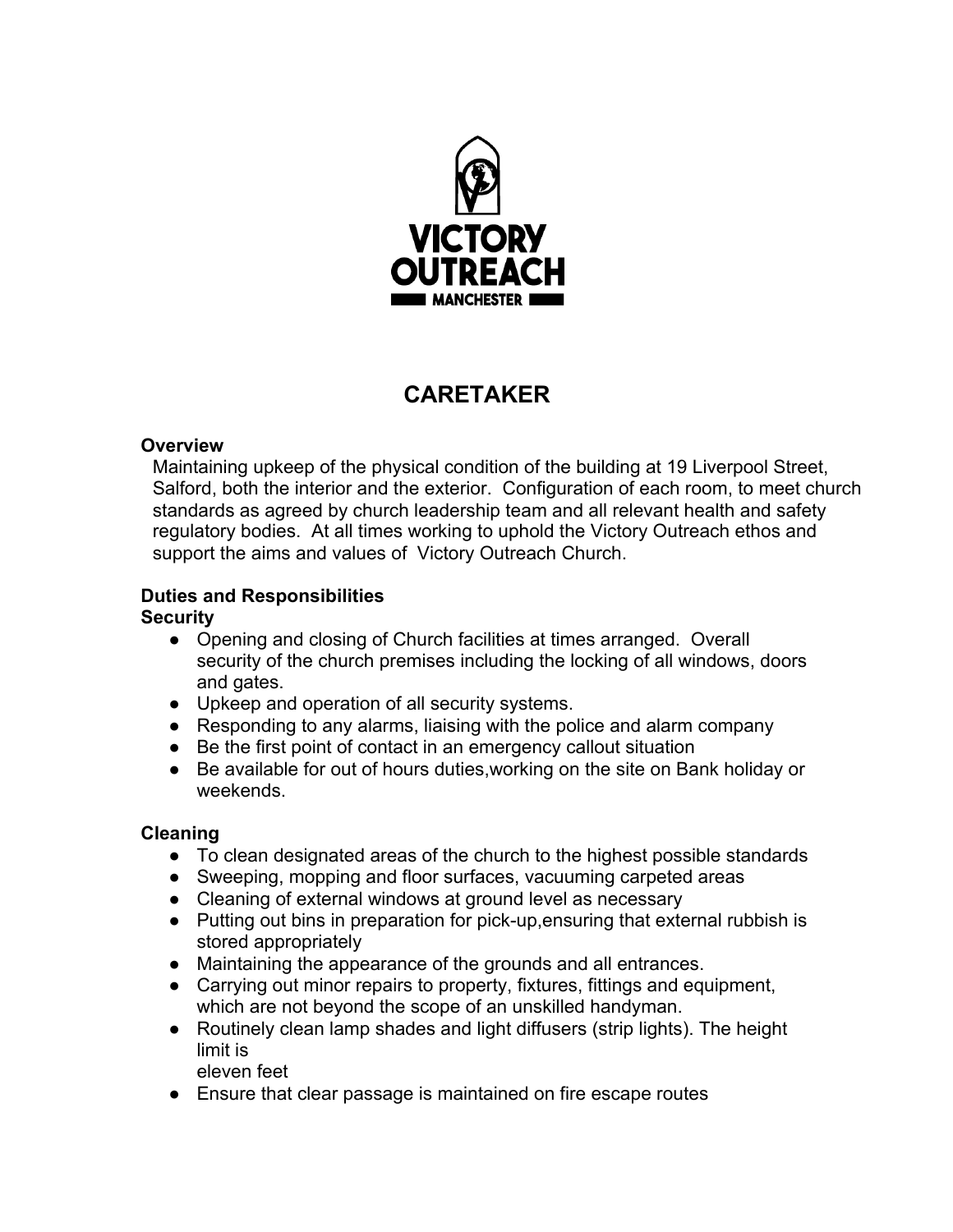

# **CARETAKER**

# **Overview**

Maintaining upkeep of the physical condition of the building at 19 Liverpool Street, Salford, both the interior and the exterior. Configuration of each room, to meet church standards as agreed by church leadership team and all relevant health and safety regulatory bodies. At all times working to uphold the Victory Outreach ethos and support the aims and values of Victory Outreach Church.

# **Duties and Responsibilities**

# **Security**

- Opening and closing of Church facilities at times arranged. Overall security of the church premises including the locking of all windows, doors and gates.
- Upkeep and operation of all security systems.
- Responding to any alarms, liaising with the police and alarm company
- Be the first point of contact in an emergency callout situation
- Be available for out of hours duties, working on the site on Bank holiday or weekends.

# **Cleaning**

- To clean designated areas of the church to the highest possible standards
- Sweeping, mopping and floor surfaces, vacuuming carpeted areas
- Cleaning of external windows at ground level as necessary
- Putting out bins in preparation for pick-up,ensuring that external rubbish is stored appropriately
- Maintaining the appearance of the grounds and all entrances.
- Carrying out minor repairs to property, fixtures, fittings and equipment, which are not beyond the scope of an unskilled handyman.
- Routinely clean lamp shades and light diffusers (strip lights). The height limit is

eleven feet

● Ensure that clear passage is maintained on fire escape routes